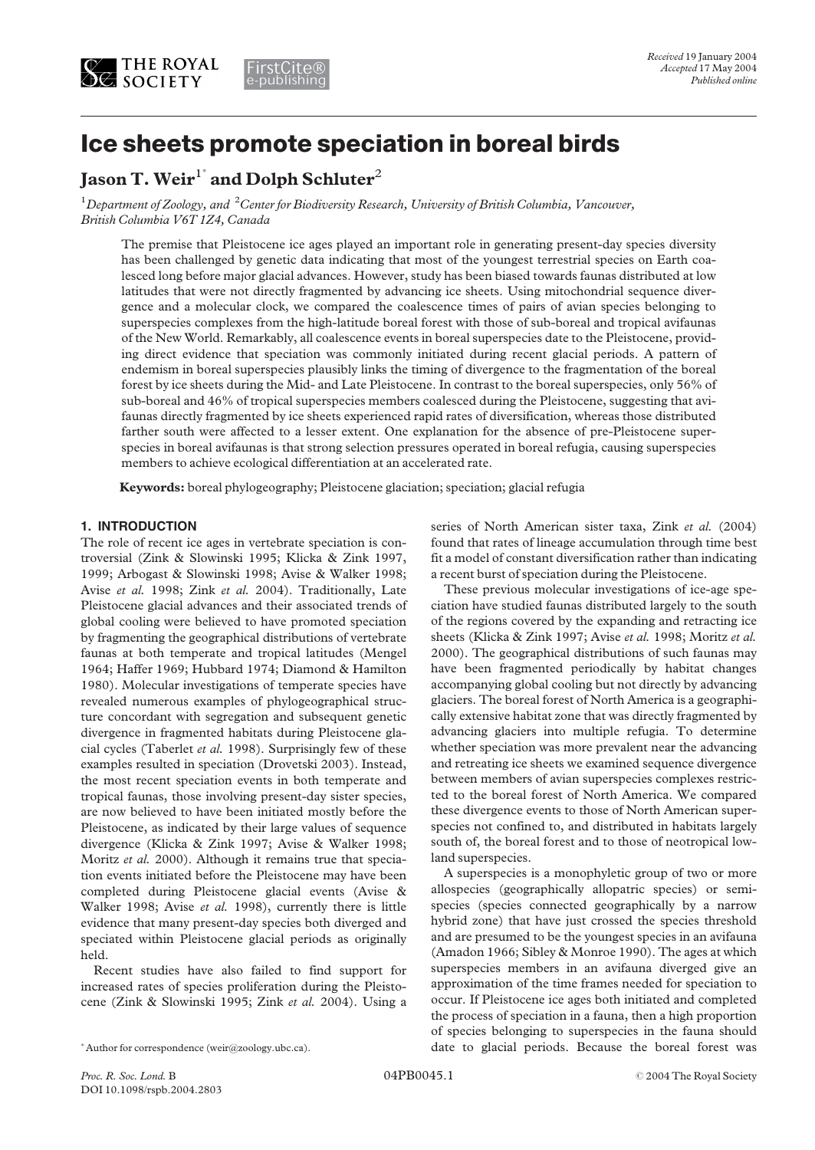

# Ice sheets promote speciation in boreal birds

## Jason T. Weir $^{\rm 1^*}$  and Dolph Schluter $^2$

 $^1$ Department of Zoology, and  $\,{}^2C$ enter for Biodiversity Research, University of British Columbia, Vancouver, British Columbia V6T 1Z4, Canada

The premise that Pleistocene ice ages played an important role in generating present-day species diversity has been challenged by genetic data indicating that most of the youngest terrestrial species on Earth coalesced long before major glacial advances. However, study has been biased towards faunas distributed at low latitudes that were not directly fragmented by advancing ice sheets. Using mitochondrial sequence divergence and a molecular clock, we compared the coalescence times of pairs of avian species belonging to superspecies complexes from the high-latitude boreal forest with those of sub-boreal and tropical avifaunas of the New World. Remarkably, all coalescence events in boreal superspecies date to the Pleistocene, providing direct evidence that speciation was commonly initiated during recent glacial periods. A pattern of endemism in boreal superspecies plausibly links the timing of divergence to the fragmentation of the boreal forest by ice sheets during the Mid- and Late Pleistocene. In contrast to the boreal superspecies, only 56% of sub-boreal and 46% of tropical superspecies members coalesced during the Pleistocene, suggesting that avifaunas directly fragmented by ice sheets experienced rapid rates of diversification, whereas those distributed farther south were affected to a lesser extent. One explanation for the absence of pre-Pleistocene superspecies in boreal avifaunas is that strong selection pressures operated in boreal refugia, causing superspecies members to achieve ecological differentiation at an accelerated rate.

Keywords: boreal phylogeography; Pleistocene glaciation; speciation; glacial refugia

### 1. INTRODUCTION

The role of recent ice ages in vertebrate speciation is controversial (Zink & Slowinski 1995; Klicka & Zink 1997, 1999; Arbogast & Slowinski 1998; Avise & Walker 1998; Avise et al. 1998; Zink et al. 2004). Traditionally, Late Pleistocene glacial advances and their associated trends of global cooling were believed to have promoted speciation by fragmenting the geographical distributions of vertebrate faunas at both temperate and tropical latitudes (Mengel 1964; Haffer 1969; Hubbard 1974; Diamond & Hamilton 1980). Molecular investigations of temperate species have revealed numerous examples of phylogeographical structure concordant with segregation and subsequent genetic divergence in fragmented habitats during Pleistocene glacial cycles (Taberlet et al. 1998). Surprisingly few of these examples resulted in speciation (Drovetski 2003). Instead, the most recent speciation events in both temperate and tropical faunas, those involving present-day sister species, are now believed to have been initiated mostly before the Pleistocene, as indicated by their large values of sequence divergence (Klicka & Zink 1997; Avise & Walker 1998; Moritz et al. 2000). Although it remains true that speciation events initiated before the Pleistocene may have been completed during Pleistocene glacial events (Avise & Walker 1998; Avise et al. 1998), currently there is little evidence that many present-day species both diverged and speciated within Pleistocene glacial periods as originally held.

Recent studies have also failed to find support for increased rates of species proliferation during the Pleistocene (Zink & Slowinski 1995; Zink et al. 2004). Using a series of North American sister taxa, Zink et al. (2004) found that rates of lineage accumulation through time best fit a model of constant diversification rather than indicating a recent burst of speciation during the Pleistocene.

These previous molecular investigations of ice-age speciation have studied faunas distributed largely to the south of the regions covered by the expanding and retracting ice sheets (Klicka & Zink 1997; Avise et al. 1998; Moritz et al. 2000). The geographical distributions of such faunas may have been fragmented periodically by habitat changes accompanying global cooling but not directly by advancing glaciers. The boreal forest of North America is a geographically extensive habitat zone that was directly fragmented by advancing glaciers into multiple refugia. To determine whether speciation was more prevalent near the advancing and retreating ice sheets we examined sequence divergence between members of avian superspecies complexes restricted to the boreal forest of North America. We compared these divergence events to those of North American superspecies not confined to, and distributed in habitats largely south of, the boreal forest and to those of neotropical lowland superspecies.

A superspecies is a monophyletic group of two or more allospecies (geographically allopatric species) or semispecies (species connected geographically by a narrow hybrid zone) that have just crossed the species threshold and are presumed to be the youngest species in an avifauna (Amadon 1966; Sibley & Monroe 1990). The ages at which superspecies members in an avifauna diverged give an approximation of the time frames needed for speciation to occur. If Pleistocene ice ages both initiated and completed the process of speciation in a fauna, then a high proportion of species belonging to superspecies in the fauna should \*Author for correspondence (weir@zoology.ubc.ca). 
<br>
date to glacial periods. Because the boreal forest was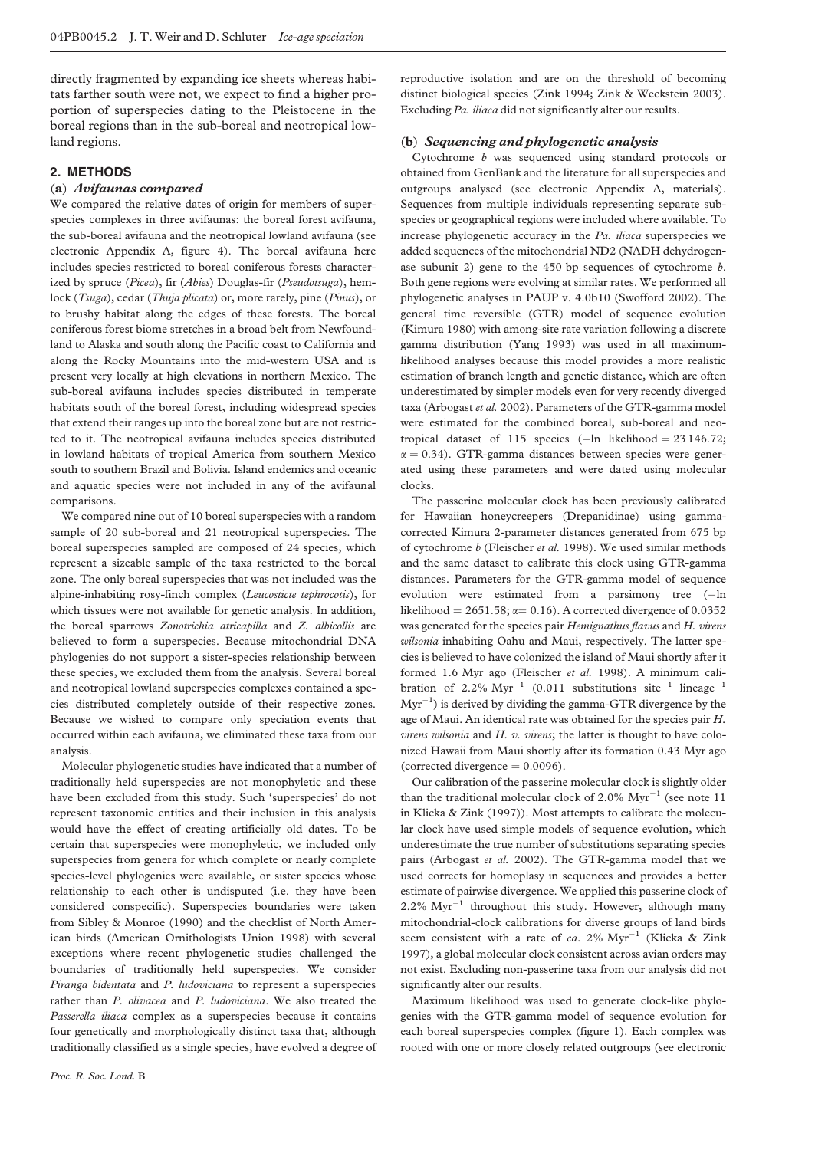directly fragmented by expanding ice sheets whereas habitats farther south were not, we expect to find a higher proportion of superspecies dating to the Pleistocene in the boreal regions than in the sub-boreal and neotropical lowland regions.

#### 2. METHODS

#### (a) Avifaunas compared

We compared the relative dates of origin for members of superspecies complexes in three avifaunas: the boreal forest avifauna, the sub-boreal avifauna and the neotropical lowland avifauna (see electronic Appendix A, figure 4). The boreal avifauna here includes species restricted to boreal coniferous forests characterized by spruce (Picea), fir (Abies) Douglas-fir (Pseudotsuga), hemlock (Tsuga), cedar (Thuja plicata) or, more rarely, pine (Pinus), or to brushy habitat along the edges of these forests. The boreal coniferous forest biome stretches in a broad belt from Newfoundland to Alaska and south along the Pacific coast to California and along the Rocky Mountains into the mid-western USA and is present very locally at high elevations in northern Mexico. The sub-boreal avifauna includes species distributed in temperate habitats south of the boreal forest, including widespread species that extend their ranges up into the boreal zone but are not restricted to it. The neotropical avifauna includes species distributed in lowland habitats of tropical America from southern Mexico south to southern Brazil and Bolivia. Island endemics and oceanic and aquatic species were not included in any of the avifaunal comparisons.

We compared nine out of 10 boreal superspecies with a random sample of 20 sub-boreal and 21 neotropical superspecies. The boreal superspecies sampled are composed of 24 species, which represent a sizeable sample of the taxa restricted to the boreal zone. The only boreal superspecies that was not included was the alpine-inhabiting rosy-finch complex (Leucosticte tephrocotis), for which tissues were not available for genetic analysis. In addition, the boreal sparrows Zonotrichia atricapilla and Z. albicollis are believed to form a superspecies. Because mitochondrial DNA phylogenies do not support a sister-species relationship between these species, we excluded them from the analysis. Several boreal and neotropical lowland superspecies complexes contained a species distributed completely outside of their respective zones. Because we wished to compare only speciation events that occurred within each avifauna, we eliminated these taxa from our analysis.

Molecular phylogenetic studies have indicated that a number of traditionally held superspecies are not monophyletic and these have been excluded from this study. Such 'superspecies' do not represent taxonomic entities and their inclusion in this analysis would have the effect of creating artificially old dates. To be certain that superspecies were monophyletic, we included only superspecies from genera for which complete or nearly complete species-level phylogenies were available, or sister species whose relationship to each other is undisputed (i.e. they have been considered conspecific). Superspecies boundaries were taken from Sibley & Monroe (1990) and the checklist of North American birds (American Ornithologists Union 1998) with several exceptions where recent phylogenetic studies challenged the boundaries of traditionally held superspecies. We consider Piranga bidentata and P. ludoviciana to represent a superspecies rather than P. olivacea and P. ludoviciana. We also treated the Passerella iliaca complex as a superspecies because it contains four genetically and morphologically distinct taxa that, although traditionally classified as a single species, have evolved a degree of reproductive isolation and are on the threshold of becoming distinct biological species (Zink 1994; Zink & Weckstein 2003). Excluding Pa. iliaca did not significantly alter our results.

#### (b) Sequencing and phylogenetic analysis

Cytochrome b was sequenced using standard protocols or obtained from GenBank and the literature for all superspecies and outgroups analysed (see electronic Appendix A, materials). Sequences from multiple individuals representing separate subspecies or geographical regions were included where available. To increase phylogenetic accuracy in the Pa. iliaca superspecies we added sequences of the mitochondrial ND2 (NADH dehydrogenase subunit 2) gene to the 450 bp sequences of cytochrome b. Both gene regions were evolving at similar rates. We performed all phylogenetic analyses in PAUP v. 4.0b10 (Swofford 2002). The general time reversible (GTR) model of sequence evolution (Kimura 1980) with among-site rate variation following a discrete gamma distribution (Yang 1993) was used in all maximumlikelihood analyses because this model provides a more realistic estimation of branch length and genetic distance, which are often underestimated by simpler models even for very recently diverged taxa (Arbogast et al. 2002). Parameters of the GTR-gamma model were estimated for the combined boreal, sub-boreal and neotropical dataset of 115 species  $(-\ln \text{ likelihood} = 23146.72;$  $\alpha = 0.34$ ). GTR-gamma distances between species were generated using these parameters and were dated using molecular clocks.

The passerine molecular clock has been previously calibrated for Hawaiian honeycreepers (Drepanidinae) using gammacorrected Kimura 2-parameter distances generated from 675 bp of cytochrome b (Fleischer et al. 1998). We used similar methods and the same dataset to calibrate this clock using GTR-gamma distances. Parameters for the GTR-gamma model of sequence evolution were estimated from a parsimony tree (-ln likelihood = 2651.58;  $\alpha$  = 0.16). A corrected divergence of 0.0352 was generated for the species pair Hemignathus flavus and H. virens wilsonia inhabiting Oahu and Maui, respectively. The latter species is believed to have colonized the island of Maui shortly after it formed 1.6 Myr ago (Fleischer et al. 1998). A minimum calibration of 2.2%  $Myr^{-1}$  (0.011 substitutions site<sup>-1</sup> lineage<sup>-1</sup>  $Myr^{-1}$ ) is derived by dividing the gamma-GTR divergence by the age of Maui. An identical rate was obtained for the species pair H.  $virens$  wilsonia and  $H$ .  $v$ . virens; the latter is thought to have colonized Hawaii from Maui shortly after its formation 0.43 Myr ago (corrected divergence  $= 0.0096$ ).

Our calibration of the passerine molecular clock is slightly older than the traditional molecular clock of 2.0%  $Myr^{-1}$  (see note 11 in Klicka & Zink (1997)). Most attempts to calibrate the molecular clock have used simple models of sequence evolution, which underestimate the true number of substitutions separating species pairs (Arbogast et al. 2002). The GTR-gamma model that we used corrects for homoplasy in sequences and provides a better estimate of pairwise divergence. We applied this passerine clock of  $2.2\%$   $Myr^{-1}$  throughout this study. However, although many mitochondrial-clock calibrations for diverse groups of land birds seem consistent with a rate of ca.  $2\%$   $Myr^{-1}$  (Klicka & Zink 1997), a global molecular clock consistent across avian orders may not exist. Excluding non-passerine taxa from our analysis did not significantly alter our results.

Maximum likelihood was used to generate clock-like phylogenies with the GTR-gamma model of sequence evolution for each boreal superspecies complex ([figure 1\)](#page-2-0). Each complex was rooted with one or more closely related outgroups (see electronic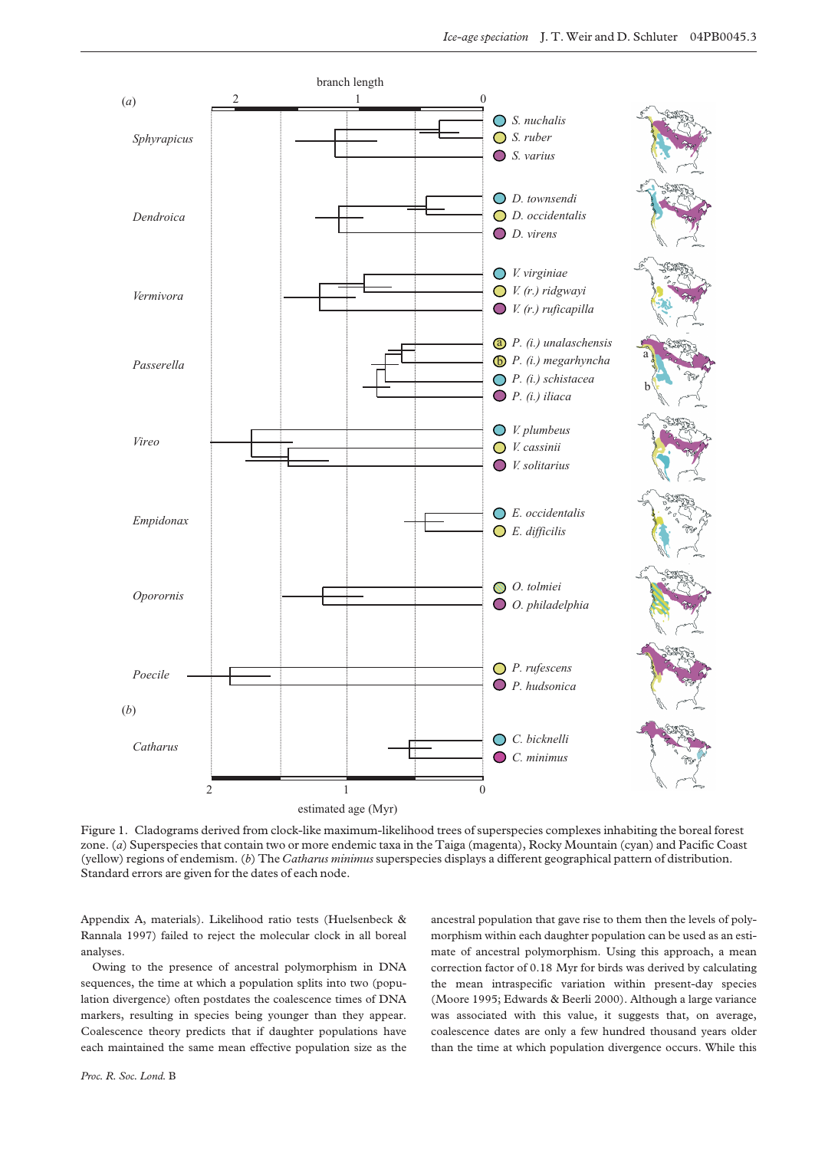<span id="page-2-0"></span>

Figure 1. Cladograms derived from clock-like maximum-likelihood trees of superspecies complexes inhabiting the boreal forest zone. (a) Superspecies that contain two or more endemic taxa in the Taiga (magenta), Rocky Mountain (cyan) and Pacific Coast (yellow) regions of endemism. (b) The Catharus minimus superspecies displays a different geographical pattern of distribution. Standard errors are given for the dates of each node.

Appendix A, materials). Likelihood ratio tests (Huelsenbeck & Rannala 1997) failed to reject the molecular clock in all boreal analyses.

Owing to the presence of ancestral polymorphism in DNA sequences, the time at which a population splits into two (population divergence) often postdates the coalescence times of DNA markers, resulting in species being younger than they appear. Coalescence theory predicts that if daughter populations have each maintained the same mean effective population size as the ancestral population that gave rise to them then the levels of polymorphism within each daughter population can be used as an estimate of ancestral polymorphism. Using this approach, a mean correction factor of 0.18 Myr for birds was derived by calculating the mean intraspecific variation within present-day species (Moore 1995; Edwards & Beerli 2000). Although a large variance was associated with this value, it suggests that, on average, coalescence dates are only a few hundred thousand years older than the time at which population divergence occurs. While this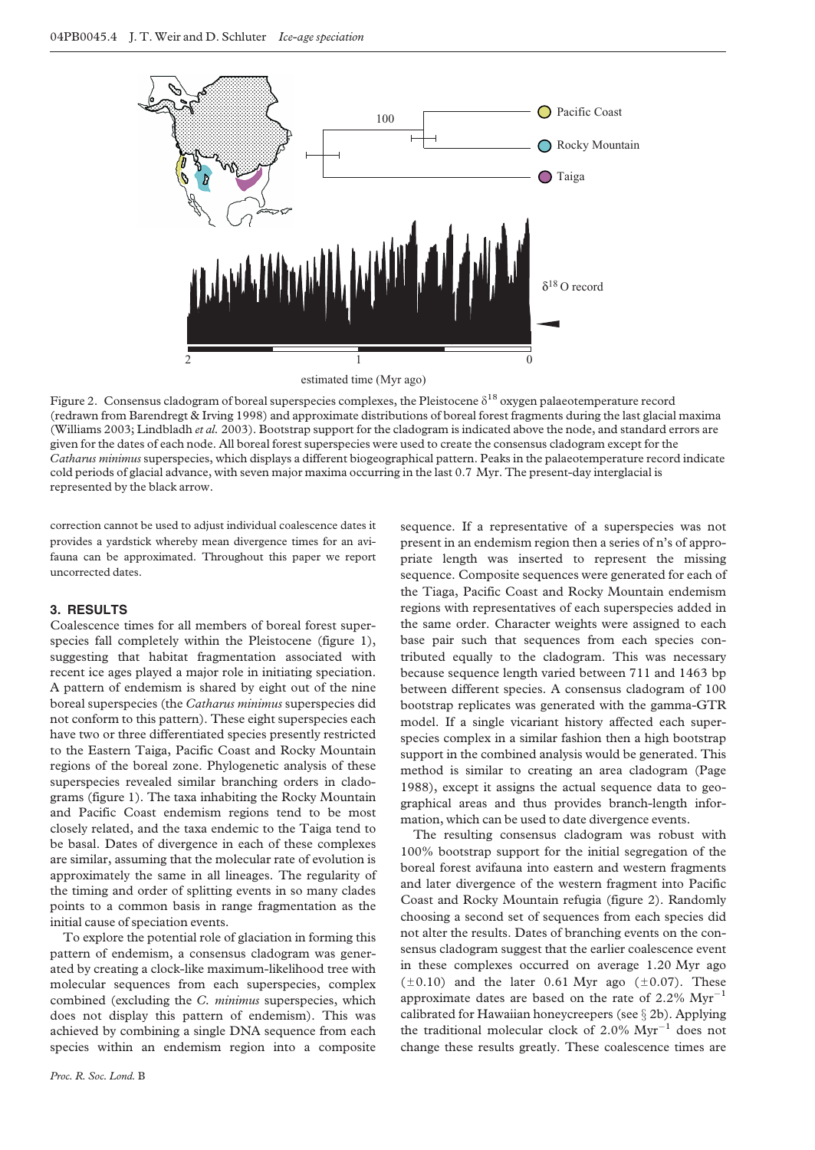<span id="page-3-0"></span>

estimated time (Myr ago)

Figure 2. Consensus cladogram of boreal superspecies complexes, the Pleistocene  $\delta^{18}$  oxygen palaeotemperature record (redrawn from Barendregt & Irving 1998) and approximate distributions of boreal forest fragments during the last glacial maxima (Williams 2003; Lindbladh et al. 2003). Bootstrap support for the cladogram is indicated above the node, and standard errors are given for the dates of each node. All boreal forest superspecies were used to create the consensus cladogram except for the Catharus minimus superspecies, which displays a different biogeographical pattern. Peaks in the palaeotemperature record indicate cold periods of glacial advance, with seven major maxima occurring in the last 0.7 Myr. The present-day interglacial is represented by the black arrow.

correction cannot be used to adjust individual coalescence dates it provides a yardstick whereby mean divergence times for an avifauna can be approximated. Throughout this paper we report uncorrected dates.

#### 3. RESULTS

Coalescence times for all members of boreal forest superspecies fall completely within the Pleistocene ([figure 1\)](#page-2-0), suggesting that habitat fragmentation associated with recent ice ages played a major role in initiating speciation. A pattern of endemism is shared by eight out of the nine boreal superspecies (the Catharus minimus superspecies did not conform to this pattern). These eight superspecies each have two or three differentiated species presently restricted to the Eastern Taiga, Pacific Coast and Rocky Mountain regions of the boreal zone. Phylogenetic analysis of these superspecies revealed similar branching orders in cladograms ([figure 1](#page-2-0)). The taxa inhabiting the Rocky Mountain and Pacific Coast endemism regions tend to be most closely related, and the taxa endemic to the Taiga tend to be basal. Dates of divergence in each of these complexes are similar, assuming that the molecular rate of evolution is approximately the same in all lineages. The regularity of the timing and order of splitting events in so many clades points to a common basis in range fragmentation as the initial cause of speciation events.

To explore the potential role of glaciation in forming this pattern of endemism, a consensus cladogram was generated by creating a clock-like maximum-likelihood tree with molecular sequences from each superspecies, complex combined (excluding the C. minimus superspecies, which does not display this pattern of endemism). This was achieved by combining a single DNA sequence from each species within an endemism region into a composite

Proc. R. Soc. Lond. B

sequence. If a representative of a superspecies was not present in an endemism region then a series of n's of appropriate length was inserted to represent the missing sequence. Composite sequences were generated for each of the Tiaga, Pacific Coast and Rocky Mountain endemism regions with representatives of each superspecies added in the same order. Character weights were assigned to each base pair such that sequences from each species contributed equally to the cladogram. This was necessary because sequence length varied between 711 and 1463 bp between different species. A consensus cladogram of 100 bootstrap replicates was generated with the gamma-GTR model. If a single vicariant history affected each superspecies complex in a similar fashion then a high bootstrap support in the combined analysis would be generated. This method is similar to creating an area cladogram (Page 1988), except it assigns the actual sequence data to geographical areas and thus provides branch-length information, which can be used to date divergence events.

The resulting consensus cladogram was robust with 100% bootstrap support for the initial segregation of the boreal forest avifauna into eastern and western fragments and later divergence of the western fragment into Pacific Coast and Rocky Mountain refugia (figure 2). Randomly choosing a second set of sequences from each species did not alter the results. Dates of branching events on the consensus cladogram suggest that the earlier coalescence event in these complexes occurred on average 1.20 Myr ago  $(\pm 0.10)$  and the later 0.61 Myr ago ( $\pm 0.07$ ). These approximate dates are based on the rate of 2.2%  $Myr^{-1}$ calibrated for Hawaiian honeycreepers (see  $\S 2b$ ). Applying the traditional molecular clock of 2.0%  $Myr^{-1}$  does not change these results greatly. These coalescence times are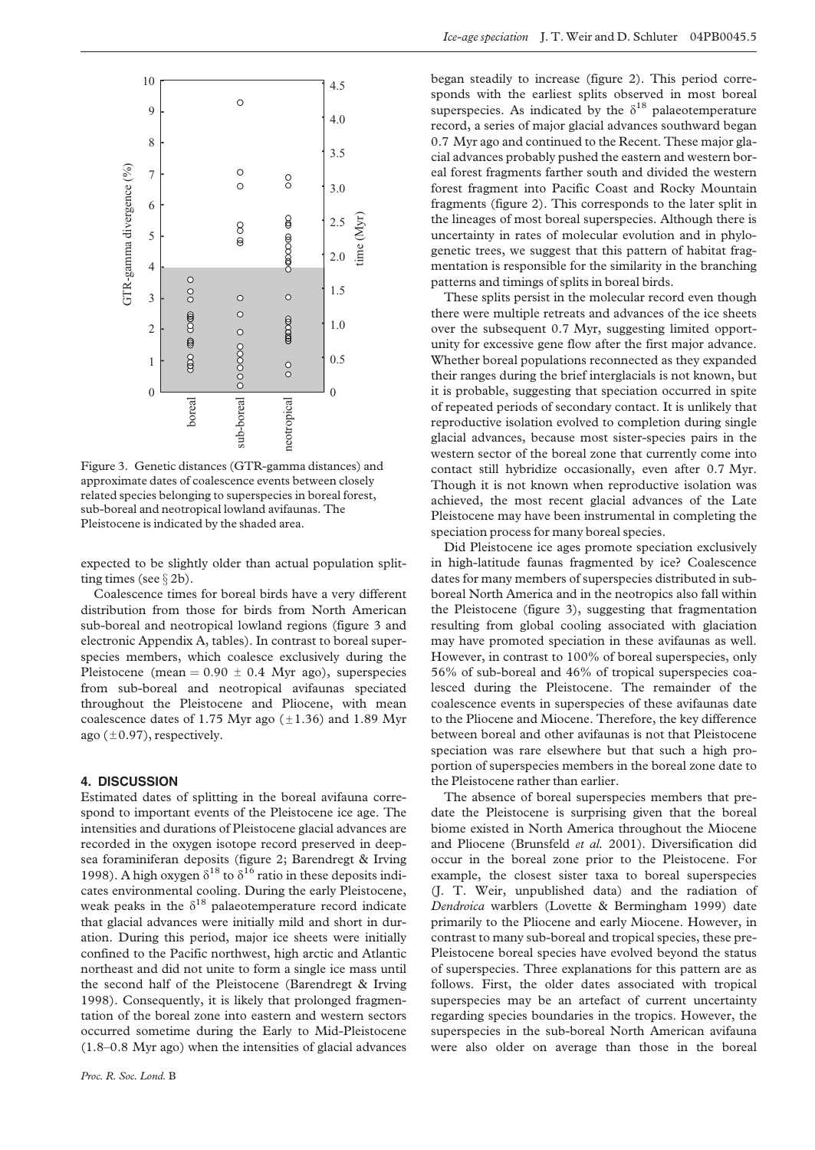

Figure 3. Genetic distances (GTR-gamma distances) and approximate dates of coalescence events between closely related species belonging to superspecies in boreal forest, sub-boreal and neotropical lowland avifaunas. The Pleistocene is indicated by the shaded area.

expected to be slightly older than actual population splitting times (see  $\S 2b$ ).

Coalescence times for boreal birds have a very different distribution from those for birds from North American sub-boreal and neotropical lowland regions (figure 3 and electronic Appendix A, tables). In contrast to boreal superspecies members, which coalesce exclusively during the Pleistocene (mean =  $0.90 \pm 0.4$  Myr ago), superspecies from sub-boreal and neotropical avifaunas speciated throughout the Pleistocene and Pliocene, with mean coalescence dates of 1.75 Myr ago  $(\pm 1.36)$  and 1.89 Myr ago  $(\pm 0.97)$ , respectively.

#### 4. DISCUSSION

Estimated dates of splitting in the boreal avifauna correspond to important events of the Pleistocene ice age. The intensities and durations of Pleistocene glacial advances are recorded in the oxygen isotope record preserved in deepsea foraminiferan deposits ([figure 2;](#page-3-0) Barendregt & Irving 1998). A high oxygen  $\delta^{18}$  to  $\delta^{16}$  ratio in these deposits indicates environmental cooling. During the early Pleistocene, weak peaks in the  $\delta^{18}$  palaeotemperature record indicate that glacial advances were initially mild and short in duration. During this period, major ice sheets were initially confined to the Pacific northwest, high arctic and Atlantic northeast and did not unite to form a single ice mass until the second half of the Pleistocene (Barendregt & Irving 1998). Consequently, it is likely that prolonged fragmentation of the boreal zone into eastern and western sectors occurred sometime during the Early to Mid-Pleistocene (1.8–0.8 Myr ago) when the intensities of glacial advances began steadily to increase ([figure 2\)](#page-3-0). This period corresponds with the earliest splits observed in most boreal superspecies. As indicated by the  $\delta^{18}$  palaeotemperature record, a series of major glacial advances southward began 0.7 Myr ago and continued to the Recent. These major glacial advances probably pushed the eastern and western boreal forest fragments farther south and divided the western forest fragment into Pacific Coast and Rocky Mountain fragments ([figure 2](#page-3-0)). This corresponds to the later split in the lineages of most boreal superspecies. Although there is uncertainty in rates of molecular evolution and in phylogenetic trees, we suggest that this pattern of habitat fragmentation is responsible for the similarity in the branching patterns and timings of splits in boreal birds.

These splits persist in the molecular record even though there were multiple retreats and advances of the ice sheets over the subsequent 0.7 Myr, suggesting limited opportunity for excessive gene flow after the first major advance. Whether boreal populations reconnected as they expanded their ranges during the brief interglacials is not known, but it is probable, suggesting that speciation occurred in spite of repeated periods of secondary contact. It is unlikely that reproductive isolation evolved to completion during single glacial advances, because most sister-species pairs in the western sector of the boreal zone that currently come into contact still hybridize occasionally, even after 0.7 Myr. Though it is not known when reproductive isolation was achieved, the most recent glacial advances of the Late Pleistocene may have been instrumental in completing the speciation process for many boreal species.

Did Pleistocene ice ages promote speciation exclusively in high-latitude faunas fragmented by ice? Coalescence dates for many members of superspecies distributed in subboreal North America and in the neotropics also fall within the Pleistocene (figure 3), suggesting that fragmentation resulting from global cooling associated with glaciation may have promoted speciation in these avifaunas as well. However, in contrast to 100% of boreal superspecies, only 56% of sub-boreal and 46% of tropical superspecies coalesced during the Pleistocene. The remainder of the coalescence events in superspecies of these avifaunas date to the Pliocene and Miocene. Therefore, the key difference between boreal and other avifaunas is not that Pleistocene speciation was rare elsewhere but that such a high proportion of superspecies members in the boreal zone date to the Pleistocene rather than earlier.

The absence of boreal superspecies members that predate the Pleistocene is surprising given that the boreal biome existed in North America throughout the Miocene and Pliocene (Brunsfeld et al. 2001). Diversification did occur in the boreal zone prior to the Pleistocene. For example, the closest sister taxa to boreal superspecies (J. T. Weir, unpublished data) and the radiation of Dendroica warblers (Lovette & Bermingham 1999) date primarily to the Pliocene and early Miocene. However, in contrast to many sub-boreal and tropical species, these pre-Pleistocene boreal species have evolved beyond the status of superspecies. Three explanations for this pattern are as follows. First, the older dates associated with tropical superspecies may be an artefact of current uncertainty regarding species boundaries in the tropics. However, the superspecies in the sub-boreal North American avifauna were also older on average than those in the boreal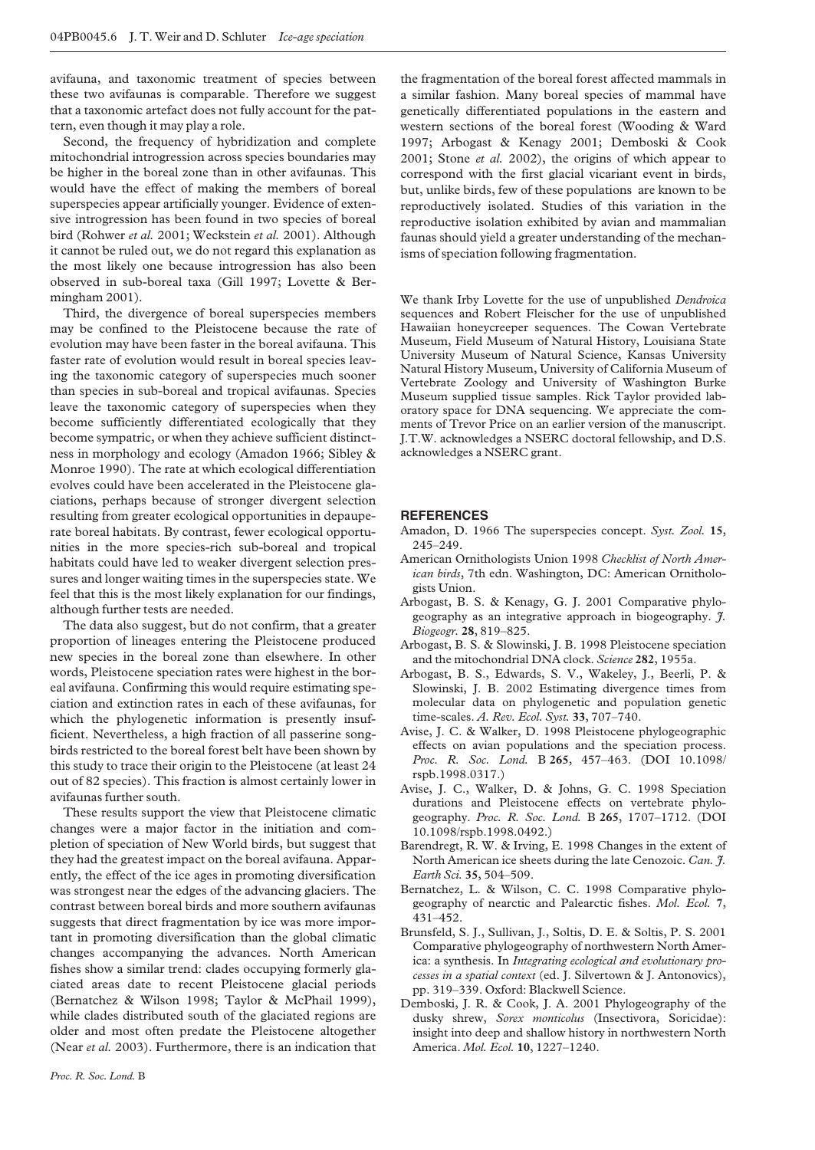avifauna, and taxonomic treatment of species between these two avifaunas is comparable. Therefore we suggest that a taxonomic artefact does not fully account for the pattern, even though it may play a role.

Second, the frequency of hybridization and complete mitochondrial introgression across species boundaries may be higher in the boreal zone than in other avifaunas. This would have the effect of making the members of boreal superspecies appear artificially younger. Evidence of extensive introgression has been found in two species of boreal bird (Rohwer et al. 2001; Weckstein et al. 2001). Although it cannot be ruled out, we do not regard this explanation as the most likely one because introgression has also been observed in sub-boreal taxa (Gill 1997; Lovette & Bermingham 2001).

Third, the divergence of boreal superspecies members may be confined to the Pleistocene because the rate of evolution may have been faster in the boreal avifauna. This faster rate of evolution would result in boreal species leaving the taxonomic category of superspecies much sooner than species in sub-boreal and tropical avifaunas. Species leave the taxonomic category of superspecies when they become sufficiently differentiated ecologically that they become sympatric, or when they achieve sufficient distinctness in morphology and ecology (Amadon 1966; Sibley & Monroe 1990). The rate at which ecological differentiation evolves could have been accelerated in the Pleistocene glaciations, perhaps because of stronger divergent selection resulting from greater ecological opportunities in depauperate boreal habitats. By contrast, fewer ecological opportunities in the more species-rich sub-boreal and tropical habitats could have led to weaker divergent selection pressures and longer waiting times in the superspecies state. We feel that this is the most likely explanation for our findings, although further tests are needed.

The data also suggest, but do not confirm, that a greater proportion of lineages entering the Pleistocene produced new species in the boreal zone than elsewhere. In other words, Pleistocene speciation rates were highest in the boreal avifauna. Confirming this would require estimating speciation and extinction rates in each of these avifaunas, for which the phylogenetic information is presently insufficient. Nevertheless, a high fraction of all passerine songbirds restricted to the boreal forest belt have been shown by this study to trace their origin to the Pleistocene (at least 24 out of 82 species). This fraction is almost certainly lower in avifaunas further south.

These results support the view that Pleistocene climatic changes were a major factor in the initiation and completion of speciation of New World birds, but suggest that they had the greatest impact on the boreal avifauna. Apparently, the effect of the ice ages in promoting diversification was strongest near the edges of the advancing glaciers. The contrast between boreal birds and more southern avifaunas suggests that direct fragmentation by ice was more important in promoting diversification than the global climatic changes accompanying the advances. North American fishes show a similar trend: clades occupying formerly glaciated areas date to recent Pleistocene glacial periods (Bernatchez & Wilson 1998; Taylor & McPhail 1999), while clades distributed south of the glaciated regions are older and most often predate the Pleistocene altogether (Near et al. 2003). Furthermore, there is an indication that

the fragmentation of the boreal forest affected mammals in a similar fashion. Many boreal species of mammal have genetically differentiated populations in the eastern and western sections of the boreal forest (Wooding & Ward 1997; Arbogast & Kenagy 2001; Demboski & Cook 2001; Stone et al. 2002), the origins of which appear to correspond with the first glacial vicariant event in birds, but, unlike birds, few of these populations are known to be reproductively isolated. Studies of this variation in the reproductive isolation exhibited by avian and mammalian faunas should yield a greater understanding of the mechanisms of speciation following fragmentation.

We thank Irby Lovette for the use of unpublished Dendroica sequences and Robert Fleischer for the use of unpublished Hawaiian honeycreeper sequences. The Cowan Vertebrate Museum, Field Museum of Natural History, Louisiana State University Museum of Natural Science, Kansas University Natural History Museum, University of California Museum of Vertebrate Zoology and University of Washington Burke Museum supplied tissue samples. Rick Taylor provided laboratory space for DNA sequencing. We appreciate the comments of Trevor Price on an earlier version of the manuscript. J.T.W. acknowledges a NSERC doctoral fellowship, and D.S. acknowledges a NSERC grant.

#### **REFERENCES**

- Amadon, D. 1966 The superspecies concept. Syst. Zool. 15, 245–249.
- American Ornithologists Union 1998 Checklist of North American birds, 7th edn. Washington, DC: American Ornithologists Union.
- Arbogast, B. S. & Kenagy, G. J. 2001 Comparative phylogeography as an integrative approach in biogeography.  $\tilde{f}$ . Biogeogr. 28, 819–825.
- Arbogast, B. S. & Slowinski, J. B. 1998 Pleistocene speciation and the mitochondrial DNA clock. Science 282, 1955a.
- Arbogast, B. S., Edwards, S. V., Wakeley, J., Beerli, P. & Slowinski, J. B. 2002 Estimating divergence times from molecular data on phylogenetic and population genetic time-scales. A. Rev. Ecol. Syst. 33, 707–740.
- Avise, J. C. & Walker, D. 1998 Pleistocene phylogeographic effects on avian populations and the speciation process. Proc. R. Soc. Lond. B 265, 457–463. (DOI 10.1098/ rspb.1998.0317.)
- Avise, J. C., Walker, D. & Johns, G. C. 1998 Speciation durations and Pleistocene effects on vertebrate phylogeography. Proc. R. Soc. Lond. B 265, 1707–1712. (DOI 10.1098/rspb.1998.0492.)
- Barendregt, R. W. & Irving, E. 1998 Changes in the extent of North American ice sheets during the late Cenozoic. Can. J. Earth Sci. 35, 504–509.
- Bernatchez, L. & Wilson, C. C. 1998 Comparative phylogeography of nearctic and Palearctic fishes. Mol. Ecol. 7, 431–452.
- Brunsfeld, S. J., Sullivan, J., Soltis, D. E. & Soltis, P. S. 2001 Comparative phylogeography of northwestern North America: a synthesis. In Integrating ecological and evolutionary processes in a spatial context (ed. J. Silvertown & J. Antonovics), pp. 319–339. Oxford: Blackwell Science.
- Demboski, J. R. & Cook, J. A. 2001 Phylogeography of the dusky shrew, Sorex monticolus (Insectivora, Soricidae): insight into deep and shallow history in northwestern North America. Mol. Ecol. 10, 1227–1240.